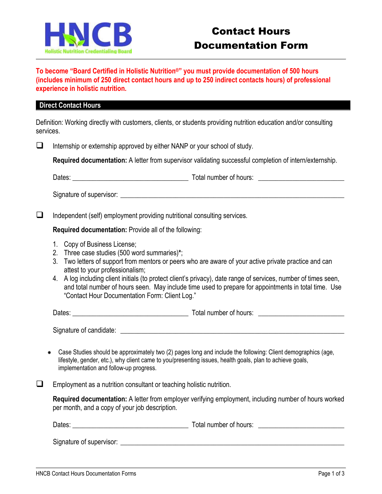

**To become "Board Certified in Holistic Nutrition®" you must provide documentation of 500 hours (includes minimum of 250 direct contact hours and up to 250 indirect contacts hours) of professional experience in holistic nutrition.**

## **Direct Contact Hours**

Definition: Working directly with customers, clients, or students providing nutrition education and/or consulting services.

 $\Box$  Internship or externship approved by either NANP or your school of study.

**Required documentation:** A letter from supervisor validating successful completion of intern/externship.

Dates: example are also assumed to the Total number of hours:  $\Box$ 

Signature of supervisor: \_\_\_\_\_\_\_\_\_\_\_\_\_\_\_\_\_\_\_\_\_\_\_\_\_\_\_\_\_\_\_\_\_\_\_\_\_\_\_\_\_\_\_\_\_\_\_\_\_\_\_\_\_\_\_\_\_\_\_\_\_\_\_\_\_

 $\Box$  Independent (self) employment providing nutritional consulting services.

**Required documentation:** Provide all of the following:

- 1. Copy of Business License;
- 2. Three case studies (500 word summaries)**\***;
- 3. Two letters of support from mentors or peers who are aware of your active private practice and can attest to your professionalism;
- 4. A log including client initials (to protect client's privacy), date range of services, number of times seen, and total number of hours seen. May include time used to prepare for appointments in total time. Use "Contact Hour Documentation Form: Client Log."

| Dates:<br>Total number of hours: |
|----------------------------------|
|----------------------------------|

Signature of candidate:  $\Box$ 

 Case Studies should be approximately two (2) pages long and include the following: Client demographics (age, lifestyle, gender, etc.), why client came to you/presenting issues, health goals, plan to achieve goals, implementation and follow-up progress.

 $\Box$  Employment as a nutrition consultant or teaching holistic nutrition.

**Required documentation:** A letter from employer verifying employment, including number of hours worked per month, and a copy of your job description.

| Dates: | Total number of hours: |  |
|--------|------------------------|--|
|        |                        |  |

Signature of supervisor:  $\Box$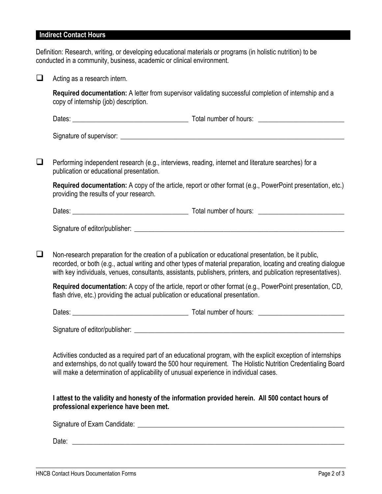## **Indirect Contact Hours**

Definition: Research, writing, or developing educational materials or programs (in holistic nutrition) to be conducted in a community, business, academic or clinical environment.

| copy of internship (job) description.<br>publication or educational presentation.<br>providing the results of your research.                                                                                                                                                                                                               | Required documentation: A letter from supervisor validating successful completion of internship and a<br>Performing independent research (e.g., interviews, reading, internet and literature searches) for a<br>Required documentation: A copy of the article, report or other format (e.g., PowerPoint presentation, etc.) |  |  |  |
|--------------------------------------------------------------------------------------------------------------------------------------------------------------------------------------------------------------------------------------------------------------------------------------------------------------------------------------------|-----------------------------------------------------------------------------------------------------------------------------------------------------------------------------------------------------------------------------------------------------------------------------------------------------------------------------|--|--|--|
|                                                                                                                                                                                                                                                                                                                                            |                                                                                                                                                                                                                                                                                                                             |  |  |  |
|                                                                                                                                                                                                                                                                                                                                            |                                                                                                                                                                                                                                                                                                                             |  |  |  |
|                                                                                                                                                                                                                                                                                                                                            |                                                                                                                                                                                                                                                                                                                             |  |  |  |
|                                                                                                                                                                                                                                                                                                                                            |                                                                                                                                                                                                                                                                                                                             |  |  |  |
|                                                                                                                                                                                                                                                                                                                                            |                                                                                                                                                                                                                                                                                                                             |  |  |  |
|                                                                                                                                                                                                                                                                                                                                            |                                                                                                                                                                                                                                                                                                                             |  |  |  |
|                                                                                                                                                                                                                                                                                                                                            |                                                                                                                                                                                                                                                                                                                             |  |  |  |
| Non-research preparation for the creation of a publication or educational presentation, be it public,<br>recorded, or both (e.g., actual writing and other types of material preparation, locating and creating dialogue<br>with key individuals, venues, consultants, assistants, publishers, printers, and publication representatives). |                                                                                                                                                                                                                                                                                                                             |  |  |  |
| Required documentation: A copy of the article, report or other format (e.g., PowerPoint presentation, CD,<br>flash drive, etc.) providing the actual publication or educational presentation.                                                                                                                                              |                                                                                                                                                                                                                                                                                                                             |  |  |  |
|                                                                                                                                                                                                                                                                                                                                            |                                                                                                                                                                                                                                                                                                                             |  |  |  |
| Signature of editor/publisher: example and a state of editor/publisher:                                                                                                                                                                                                                                                                    |                                                                                                                                                                                                                                                                                                                             |  |  |  |
| Activities conducted as a required part of an educational program, with the explicit exception of internships<br>and externships, do not qualify toward the 500 hour requirement. The Holistic Nutrition Credentialing Board<br>will make a determination of applicability of unusual experience in individual cases.                      |                                                                                                                                                                                                                                                                                                                             |  |  |  |
|                                                                                                                                                                                                                                                                                                                                            | I attest to the validity and honesty of the information provided herein. All 500 contact hours of                                                                                                                                                                                                                           |  |  |  |
|                                                                                                                                                                                                                                                                                                                                            |                                                                                                                                                                                                                                                                                                                             |  |  |  |
|                                                                                                                                                                                                                                                                                                                                            |                                                                                                                                                                                                                                                                                                                             |  |  |  |
|                                                                                                                                                                                                                                                                                                                                            | professional experience have been met.                                                                                                                                                                                                                                                                                      |  |  |  |